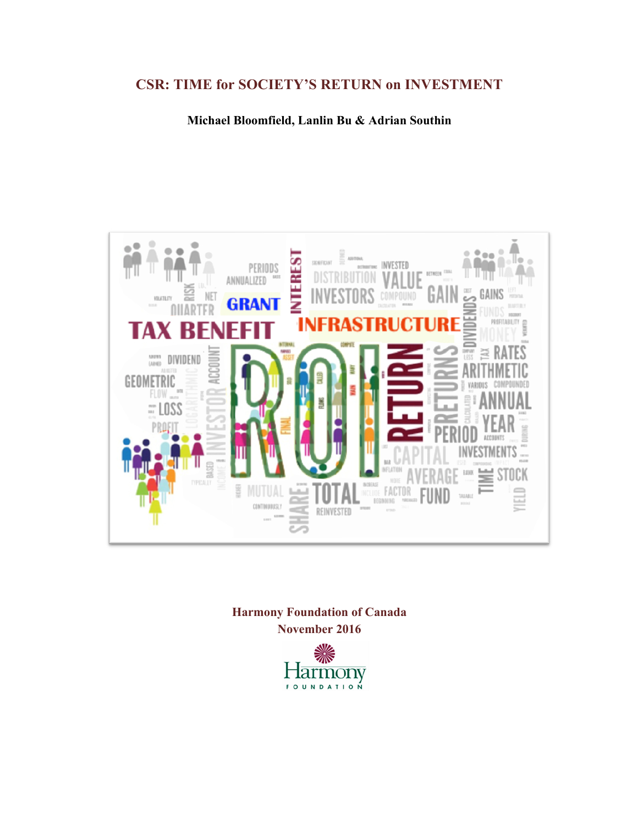# **CSR: TIME for SOCIETY'S RETURN on INVESTMENT**

**Michael Bloomfield, Lanlin Bu & Adrian Southin**



**Harmony Foundation of Canada November 2016**

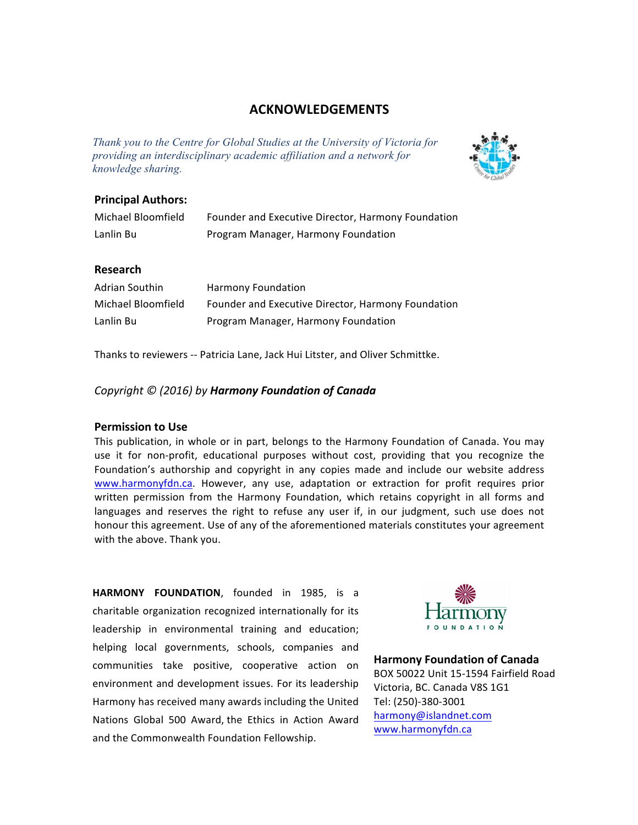### **ACKNOWLEDGEMENTS**

*Thank you to the Centre for Global Studies at the University of Victoria for providing an interdisciplinary academic affiliation and a network for knowledge sharing.*



#### **Principal Authors:**

| Michael Bloomfield | Founder and Executive Director, Harmony Foundation |
|--------------------|----------------------------------------------------|
| Lanlin Bu          | Program Manager, Harmony Foundation                |

#### **Research**

| Adrian Southin     | Harmony Foundation                                 |
|--------------------|----------------------------------------------------|
| Michael Bloomfield | Founder and Executive Director, Harmony Foundation |
| Lanlin Bu          | Program Manager, Harmony Foundation                |

Thanks to reviewers -- Patricia Lane, Jack Hui Litster, and Oliver Schmittke.

#### *Copyright © (2016) by Harmony Foundation of Canada*

#### **Permission to Use**

This publication, in whole or in part, belongs to the Harmony Foundation of Canada. You may use it for non-profit, educational purposes without cost, providing that you recognize the Foundation's authorship and copyright in any copies made and include our website address www.harmonyfdn.ca. However, any use, adaptation or extraction for profit requires prior written permission from the Harmony Foundation, which retains copyright in all forms and languages and reserves the right to refuse any user if, in our judgment, such use does not honour this agreement. Use of any of the aforementioned materials constitutes your agreement with the above. Thank you.

**HARMONY FOUNDATION, founded in 1985, is a** charitable organization recognized internationally for its leadership in environmental training and education; helping local governments, schools, companies and communities take positive, cooperative action on environment and development issues. For its leadership Harmony has received many awards including the United Nations Global 500 Award, the Ethics in Action Award and the Commonwealth Foundation Fellowship.



**Harmony Foundation of Canada** BOX 50022 Unit 15-1594 Fairfield Road Victoria, BC. Canada V8S 1G1 Tel: (250)-380-3001 harmony@islandnet.com www.harmonyfdn.ca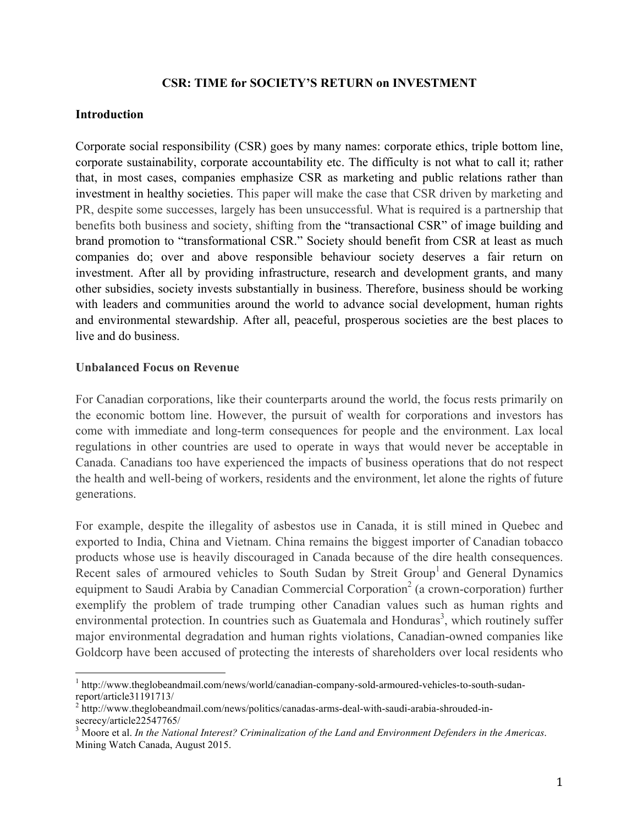### **CSR: TIME for SOCIETY'S RETURN on INVESTMENT**

#### **Introduction**

Corporate social responsibility (CSR) goes by many names: corporate ethics, triple bottom line, corporate sustainability, corporate accountability etc. The difficulty is not what to call it; rather that, in most cases, companies emphasize CSR as marketing and public relations rather than investment in healthy societies. This paper will make the case that CSR driven by marketing and PR, despite some successes, largely has been unsuccessful. What is required is a partnership that benefits both business and society, shifting from the "transactional CSR" of image building and brand promotion to "transformational CSR." Society should benefit from CSR at least as much companies do; over and above responsible behaviour society deserves a fair return on investment. After all by providing infrastructure, research and development grants, and many other subsidies, society invests substantially in business. Therefore, business should be working with leaders and communities around the world to advance social development, human rights and environmental stewardship. After all, peaceful, prosperous societies are the best places to live and do business.

### **Unbalanced Focus on Revenue**

For Canadian corporations, like their counterparts around the world, the focus rests primarily on the economic bottom line. However, the pursuit of wealth for corporations and investors has come with immediate and long-term consequences for people and the environment. Lax local regulations in other countries are used to operate in ways that would never be acceptable in Canada. Canadians too have experienced the impacts of business operations that do not respect the health and well-being of workers, residents and the environment, let alone the rights of future generations.

For example, despite the illegality of asbestos use in Canada, it is still mined in Quebec and exported to India, China and Vietnam. China remains the biggest importer of Canadian tobacco products whose use is heavily discouraged in Canada because of the dire health consequences. Recent sales of armoured vehicles to South Sudan by Streit Group<sup>1</sup> and General Dynamics equipment to Saudi Arabia by Canadian Commercial Corporation<sup>2</sup> (a crown-corporation) further exemplify the problem of trade trumping other Canadian values such as human rights and environmental protection. In countries such as Guatemala and Honduras<sup>3</sup>, which routinely suffer major environmental degradation and human rights violations, Canadian-owned companies like Goldcorp have been accused of protecting the interests of shareholders over local residents who

<sup>&</sup>lt;sup>1</sup> http://www.theglobeandmail.com/news/world/canadian-company-sold-armoured-vehicles-to-south-sudanreport/article31191713/<br><sup>2</sup> http://www.theglobeandmail.com/news/politics/canadas-arms-deal-with-saudi-arabia-shrouded-in-

secrecy/article22547765/

<sup>3</sup> Moore et al. *In the National Interest? Criminalization of the Land and Environment Defenders in the Americas*. Mining Watch Canada, August 2015.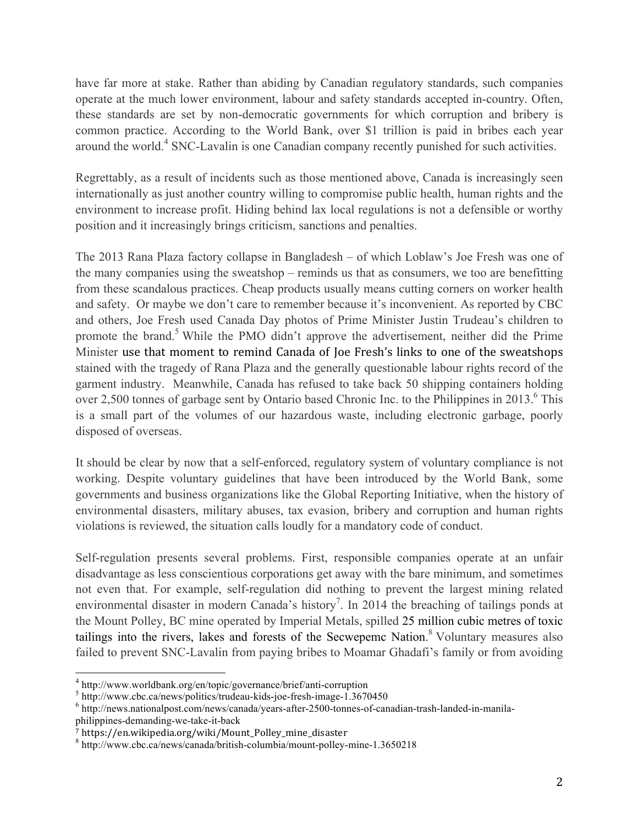have far more at stake. Rather than abiding by Canadian regulatory standards, such companies operate at the much lower environment, labour and safety standards accepted in-country. Often, these standards are set by non-democratic governments for which corruption and bribery is common practice. According to the World Bank, over \$1 trillion is paid in bribes each year around the world.<sup>4</sup> SNC-Lavalin is one Canadian company recently punished for such activities.

Regrettably, as a result of incidents such as those mentioned above, Canada is increasingly seen internationally as just another country willing to compromise public health, human rights and the environment to increase profit. Hiding behind lax local regulations is not a defensible or worthy position and it increasingly brings criticism, sanctions and penalties.

The 2013 Rana Plaza factory collapse in Bangladesh – of which Loblaw's Joe Fresh was one of the many companies using the sweatshop – reminds us that as consumers, we too are benefitting from these scandalous practices. Cheap products usually means cutting corners on worker health and safety. Or maybe we don't care to remember because it's inconvenient. As reported by CBC and others, Joe Fresh used Canada Day photos of Prime Minister Justin Trudeau's children to promote the brand.<sup>5</sup> While the PMO didn't approve the advertisement, neither did the Prime Minister use that moment to remind Canada of Joe Fresh's links to one of the sweatshops stained with the tragedy of Rana Plaza and the generally questionable labour rights record of the garment industry. Meanwhile, Canada has refused to take back 50 shipping containers holding over 2,500 tonnes of garbage sent by Ontario based Chronic Inc. to the Philippines in 2013.<sup>6</sup> This is a small part of the volumes of our hazardous waste, including electronic garbage, poorly disposed of overseas.

It should be clear by now that a self-enforced, regulatory system of voluntary compliance is not working. Despite voluntary guidelines that have been introduced by the World Bank, some governments and business organizations like the Global Reporting Initiative, when the history of environmental disasters, military abuses, tax evasion, bribery and corruption and human rights violations is reviewed, the situation calls loudly for a mandatory code of conduct.

Self-regulation presents several problems. First, responsible companies operate at an unfair disadvantage as less conscientious corporations get away with the bare minimum, and sometimes not even that. For example, self-regulation did nothing to prevent the largest mining related environmental disaster in modern Canada's history<sup>7</sup>. In 2014 the breaching of tailings ponds at the Mount Polley, BC mine operated by Imperial Metals, spilled 25 million cubic metres of toxic tailings into the rivers, lakes and forests of the Secwepemc Nation.<sup>8</sup> Voluntary measures also failed to prevent SNC-Lavalin from paying bribes to Moamar Ghadafi's family or from avoiding

 $^4$  http://www.worldbank.org/en/topic/governance/brief/anti-corruption<br>  $^5$  http://www.cbc.ca/news/politics/trudeau-kids-joe-fresh-image-1.3670450<br>  $^6$  http://news.nationalpost.com/news/canada/years-after-2500-tonnes-o philippines-demanding-we-take-it-back

<sup>7</sup> https://en.wikipedia.org/wiki/Mount\_Polley\_mine\_disaster

<sup>8</sup> http://www.cbc.ca/news/canada/british-columbia/mount-polley-mine-1.3650218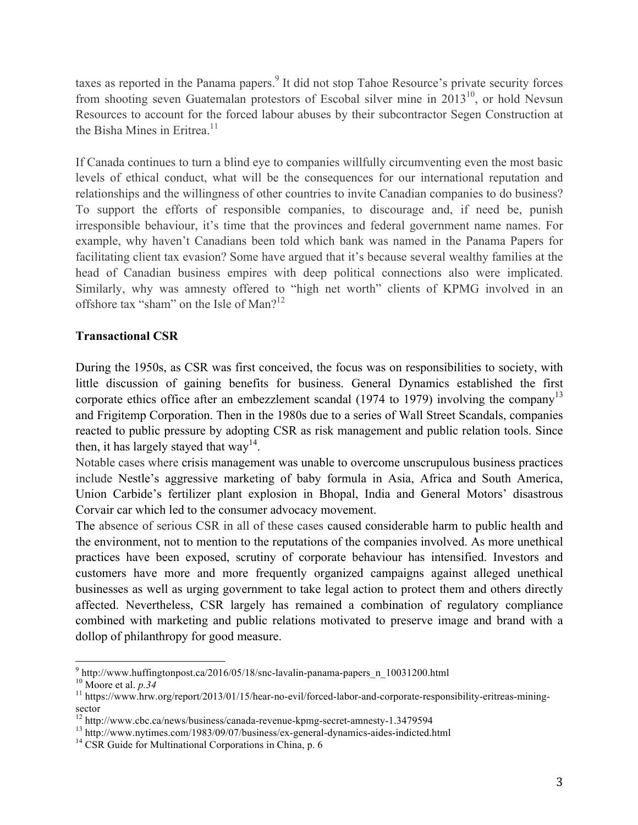taxes as reported in the Panama papers.<sup>9</sup> It did not stop Tahoe Resource's private security forces from shooting seven Guatemalan protestors of Escobal silver mine in  $2013^{10}$ , or hold Nevsun Resources to account for the forced labour abuses by their subcontractor Segen Construction at the Bisha Mines in Eritrea<sup>11</sup>

If Canada continues to turn a blind eye to companies willfully circumventing even the most basic levels of ethical conduct, what will be the consequences for our international reputation and relationships and the willingness of other countries to invite Canadian companies to do business? To support the efforts of responsible companies, to discourage and, if need be, punish irresponsible behaviour, it's time that the provinces and federal government name names. For example, why haven't Canadians been told which bank was named in the Panama Papers for facilitating client tax evasion? Some have argued that it's because several wealthy families at the head of Canadian business empires with deep political connections also were implicated. Similarly, why was amnesty offered to "high net worth" clients of KPMG involved in an offshore tax "sham" on the Isle of Man?<sup>12</sup>

## **Transactional CSR**

During the 1950s, as CSR was first conceived, the focus was on responsibilities to society, with little discussion of gaining benefits for business. General Dynamics established the first corporate ethics office after an embezzlement scandal (1974 to 1979) involving the company<sup>13</sup> and Frigitemp Corporation. Then in the 1980s due to a series of Wall Street Scandals, companies reacted to public pressure by adopting CSR as risk management and public relation tools. Since then, it has largely stayed that way<sup>14</sup>.

Notable cases where crisis management was unable to overcome unscrupulous business practices include Nestle's aggressive marketing of baby formula in Asia, Africa and South America, Union Carbide's fertilizer plant explosion in Bhopal, India and General Motors' disastrous Corvair car which led to the consumer advocacy movement.

The absence of serious CSR in all of these cases caused considerable harm to public health and the environment, not to mention to the reputations of the companies involved. As more unethical practices have been exposed, scrutiny of corporate behaviour has intensified. Investors and customers have more and more frequently organized campaigns against alleged unethical businesses as well as urging government to take legal action to protect them and others directly affected. Nevertheless, CSR largely has remained a combination of regulatory compliance combined with marketing and public relations motivated to preserve image and brand with a dollop of philanthropy for good measure.

<sup>&</sup>lt;sup>9</sup> http://www.huffingtonpost.ca/2016/05/18/snc-lavalin-panama-papers\_n\_10031200.html<br><sup>10</sup> Moore et al. *p.34*<br><sup>11</sup> https://www.hrw.org/report/2013/01/15/hear-no-evil/forced-labor-and-corporate-responsibility-eritreas-mini

sector<br><sup>12</sup> http://www.cbc.ca/news/business/canada-revenue-kpmg-secret-amnesty-1.3479594

<sup>&</sup>lt;sup>13</sup> http://www.nytimes.com/1983/09/07/business/ex-general-dynamics-aides-indicted.html <sup>14</sup> CSR Guide for Multinational Corporations in China, p. 6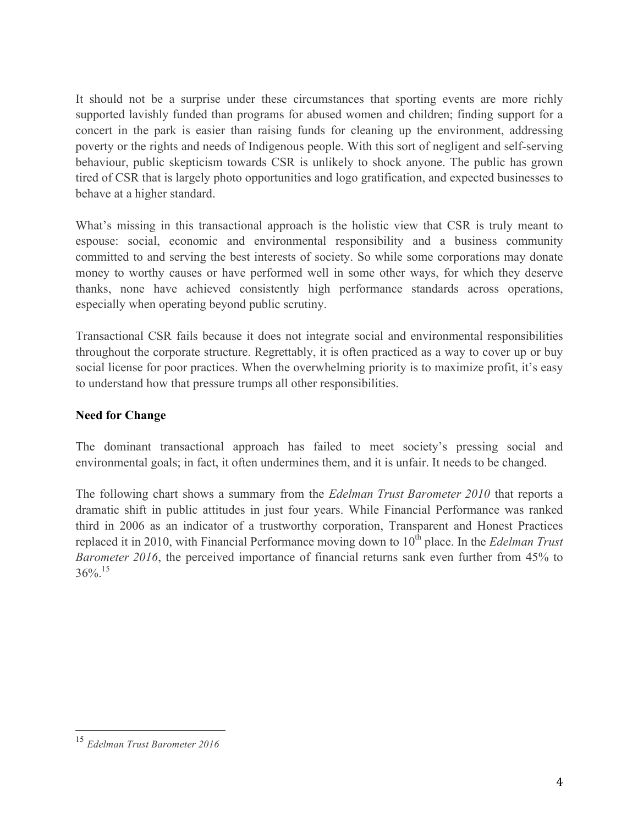It should not be a surprise under these circumstances that sporting events are more richly supported lavishly funded than programs for abused women and children; finding support for a concert in the park is easier than raising funds for cleaning up the environment, addressing poverty or the rights and needs of Indigenous people. With this sort of negligent and self-serving behaviour, public skepticism towards CSR is unlikely to shock anyone. The public has grown tired of CSR that is largely photo opportunities and logo gratification, and expected businesses to behave at a higher standard.

What's missing in this transactional approach is the holistic view that CSR is truly meant to espouse: social, economic and environmental responsibility and a business community committed to and serving the best interests of society. So while some corporations may donate money to worthy causes or have performed well in some other ways, for which they deserve thanks, none have achieved consistently high performance standards across operations, especially when operating beyond public scrutiny.

Transactional CSR fails because it does not integrate social and environmental responsibilities throughout the corporate structure. Regrettably, it is often practiced as a way to cover up or buy social license for poor practices. When the overwhelming priority is to maximize profit, it's easy to understand how that pressure trumps all other responsibilities.

# **Need for Change**

The dominant transactional approach has failed to meet society's pressing social and environmental goals; in fact, it often undermines them, and it is unfair. It needs to be changed.

The following chart shows a summary from the *Edelman Trust Barometer 2010* that reports a dramatic shift in public attitudes in just four years. While Financial Performance was ranked third in 2006 as an indicator of a trustworthy corporation, Transparent and Honest Practices replaced it in 2010, with Financial Performance moving down to 10<sup>th</sup> place. In the *Edelman Trust Barometer 2016*, the perceived importance of financial returns sank even further from 45% to  $36\%$ <sup>15</sup>

 <sup>15</sup> *Edelman Trust Barometer 2016*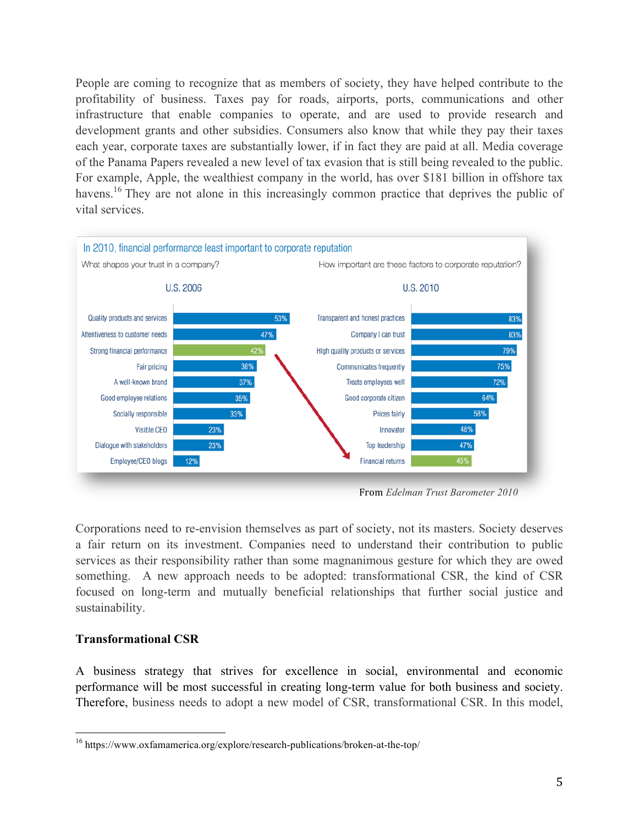People are coming to recognize that as members of society, they have helped contribute to the profitability of business. Taxes pay for roads, airports, ports, communications and other infrastructure that enable companies to operate, and are used to provide research and development grants and other subsidies. Consumers also know that while they pay their taxes each year, corporate taxes are substantially lower, if in fact they are paid at all. Media coverage of the Panama Papers revealed a new level of tax evasion that is still being revealed to the public. For example, Apple, the wealthiest company in the world, has over \$181 billion in offshore tax havens.<sup>16</sup> They are not alone in this increasingly common practice that deprives the public of vital services.



From *Edelman Trust Barometer 2010*

Corporations need to re-envision themselves as part of society, not its masters. Society deserves a fair return on its investment. Companies need to understand their contribution to public services as their responsibility rather than some magnanimous gesture for which they are owed something. A new approach needs to be adopted: transformational CSR, the kind of CSR focused on long-term and mutually beneficial relationships that further social justice and sustainability.

## **Transformational CSR**

A business strategy that strives for excellence in social, environmental and economic performance will be most successful in creating long-term value for both business and society. Therefore, business needs to adopt a new model of CSR, transformational CSR. In this model,

 <sup>16</sup> https://www.oxfamamerica.org/explore/research-publications/broken-at-the-top/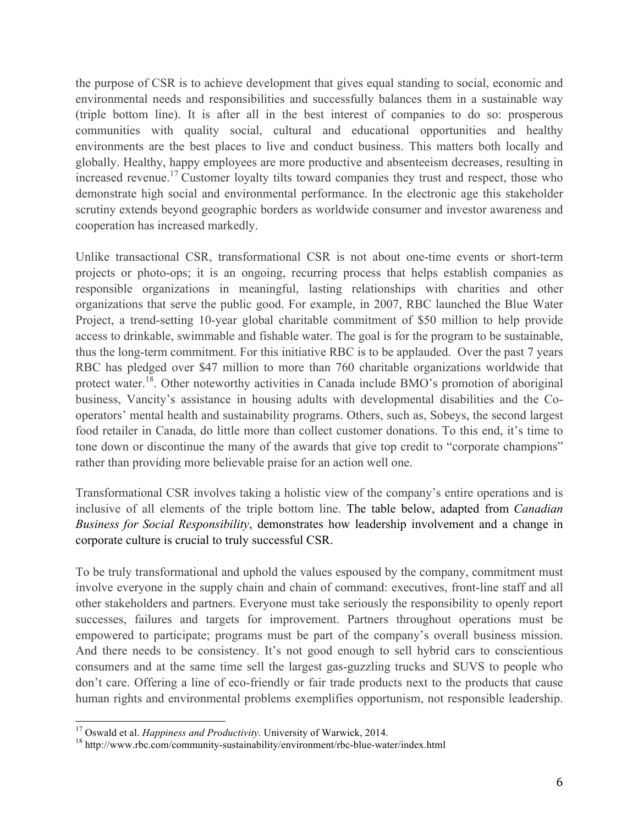the purpose of CSR is to achieve development that gives equal standing to social, economic and environmental needs and responsibilities and successfully balances them in a sustainable way (triple bottom line). It is after all in the best interest of companies to do so: prosperous communities with quality social, cultural and educational opportunities and healthy environments are the best places to live and conduct business. This matters both locally and globally. Healthy, happy employees are more productive and absenteeism decreases, resulting in increased revenue.<sup>17</sup> Customer loyalty tilts toward companies they trust and respect, those who demonstrate high social and environmental performance. In the electronic age this stakeholder scrutiny extends beyond geographic borders as worldwide consumer and investor awareness and cooperation has increased markedly.

Unlike transactional CSR, transformational CSR is not about one-time events or short-term projects or photo-ops; it is an ongoing, recurring process that helps establish companies as responsible organizations in meaningful, lasting relationships with charities and other organizations that serve the public good. For example, in 2007, RBC launched the Blue Water Project, a trend-setting 10-year global charitable commitment of \$50 million to help provide access to drinkable, swimmable and fishable water. The goal is for the program to be sustainable, thus the long-term commitment. For this initiative RBC is to be applauded. Over the past 7 years RBC has pledged over \$47 million to more than 760 charitable organizations worldwide that protect water.<sup>18</sup>. Other noteworthy activities in Canada include BMO's promotion of aboriginal business, Vancity's assistance in housing adults with developmental disabilities and the Cooperators' mental health and sustainability programs. Others, such as, Sobeys, the second largest food retailer in Canada, do little more than collect customer donations. To this end, it's time to tone down or discontinue the many of the awards that give top credit to "corporate champions" rather than providing more believable praise for an action well one.

Transformational CSR involves taking a holistic view of the company's entire operations and is inclusive of all elements of the triple bottom line. The table below, adapted from *Canadian Business for Social Responsibility*, demonstrates how leadership involvement and a change in corporate culture is crucial to truly successful CSR.

To be truly transformational and uphold the values espoused by the company, commitment must involve everyone in the supply chain and chain of command: executives, front-line staff and all other stakeholders and partners. Everyone must take seriously the responsibility to openly report successes, failures and targets for improvement. Partners throughout operations must be empowered to participate; programs must be part of the company's overall business mission. And there needs to be consistency. It's not good enough to sell hybrid cars to conscientious consumers and at the same time sell the largest gas-guzzling trucks and SUVS to people who don't care. Offering a line of eco-friendly or fair trade products next to the products that cause human rights and environmental problems exemplifies opportunism, not responsible leadership.

<sup>&</sup>lt;sup>17</sup> Oswald et al. *Happiness and Productivity*. University of Warwick, 2014.<br><sup>18</sup> http://www.rbc.com/community-sustainability/environment/rbc-blue-water/index.html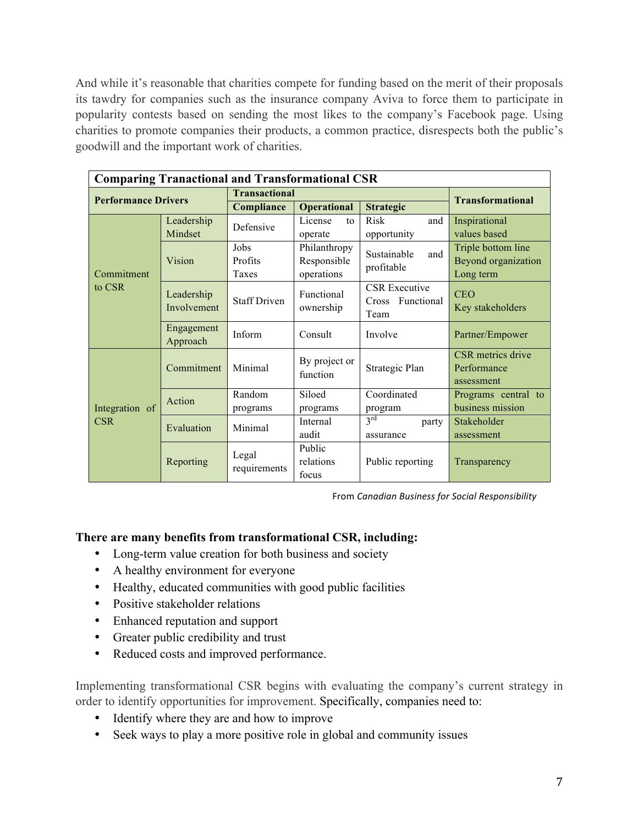And while it's reasonable that charities compete for funding based on the merit of their proposals its tawdry for companies such as the insurance company Aviva to force them to participate in popularity contests based on sending the most likes to the company's Facebook page. Using charities to promote companies their products, a common practice, disrespects both the public's goodwill and the important work of charities.

| <b>Comparing Tranactional and Transformational CSR</b> |                                                 |                                  |                                                                                      |                                                                                                                                              |  |  |  |
|--------------------------------------------------------|-------------------------------------------------|----------------------------------|--------------------------------------------------------------------------------------|----------------------------------------------------------------------------------------------------------------------------------------------|--|--|--|
| <b>Performance Drivers</b>                             |                                                 | <b>Transactional</b>             |                                                                                      |                                                                                                                                              |  |  |  |
|                                                        |                                                 | <b>Operational</b>               | <b>Strategic</b>                                                                     | <b>Transformational</b>                                                                                                                      |  |  |  |
| Leadership                                             | Defensive                                       | License<br>to                    | Risk<br>and                                                                          | Inspirational                                                                                                                                |  |  |  |
|                                                        |                                                 | operate                          |                                                                                      | values based                                                                                                                                 |  |  |  |
| Vision                                                 | Jobs                                            | Philanthropy                     | Sustainable<br>and                                                                   | Triple bottom line                                                                                                                           |  |  |  |
|                                                        | Profits                                         | Responsible                      |                                                                                      | Beyond organization                                                                                                                          |  |  |  |
|                                                        | Taxes                                           | operations                       |                                                                                      | Long term                                                                                                                                    |  |  |  |
|                                                        | <b>Staff Driven</b>                             | Functional                       | <b>CSR</b> Executive                                                                 | <b>CEO</b>                                                                                                                                   |  |  |  |
| Involvement                                            |                                                 |                                  |                                                                                      | Key stakeholders                                                                                                                             |  |  |  |
|                                                        |                                                 |                                  |                                                                                      |                                                                                                                                              |  |  |  |
|                                                        | Inform                                          | Consult                          | Involve                                                                              | Partner/Empower                                                                                                                              |  |  |  |
|                                                        |                                                 |                                  |                                                                                      |                                                                                                                                              |  |  |  |
| Commitment                                             | Minimal                                         | By project or<br>function        | Strategic Plan                                                                       | CSR metrics drive<br>Performance                                                                                                             |  |  |  |
|                                                        |                                                 |                                  |                                                                                      | assessment                                                                                                                                   |  |  |  |
|                                                        |                                                 |                                  |                                                                                      | Programs central to                                                                                                                          |  |  |  |
| Action                                                 |                                                 |                                  |                                                                                      | business mission                                                                                                                             |  |  |  |
|                                                        |                                                 |                                  |                                                                                      | Stakeholder                                                                                                                                  |  |  |  |
| Evaluation                                             | Minimal                                         |                                  |                                                                                      | assessment                                                                                                                                   |  |  |  |
| Legal<br>Reporting                                     |                                                 |                                  |                                                                                      |                                                                                                                                              |  |  |  |
|                                                        | requirements                                    |                                  |                                                                                      | Transparency                                                                                                                                 |  |  |  |
|                                                        |                                                 |                                  |                                                                                      |                                                                                                                                              |  |  |  |
|                                                        | Mindset<br>Leadership<br>Engagement<br>Approach | Compliance<br>Random<br>programs | ownership<br>Siloed<br>programs<br>Internal<br>audit<br>Public<br>relations<br>focus | opportunity<br>profitable<br>Cross Functional<br>Team<br>Coordinated<br>program<br>$3^{\text{rd}}$<br>party<br>assurance<br>Public reporting |  |  |  |

From *Canadian Business for Social Responsibility*

## **There are many benefits from transformational CSR, including:**

- Long-term value creation for both business and society
- A healthy environment for everyone
- Healthy, educated communities with good public facilities
- Positive stakeholder relations
- Enhanced reputation and support
- Greater public credibility and trust
- Reduced costs and improved performance.

Implementing transformational CSR begins with evaluating the company's current strategy in order to identify opportunities for improvement. Specifically, companies need to:

- Identify where they are and how to improve
- Seek ways to play a more positive role in global and community issues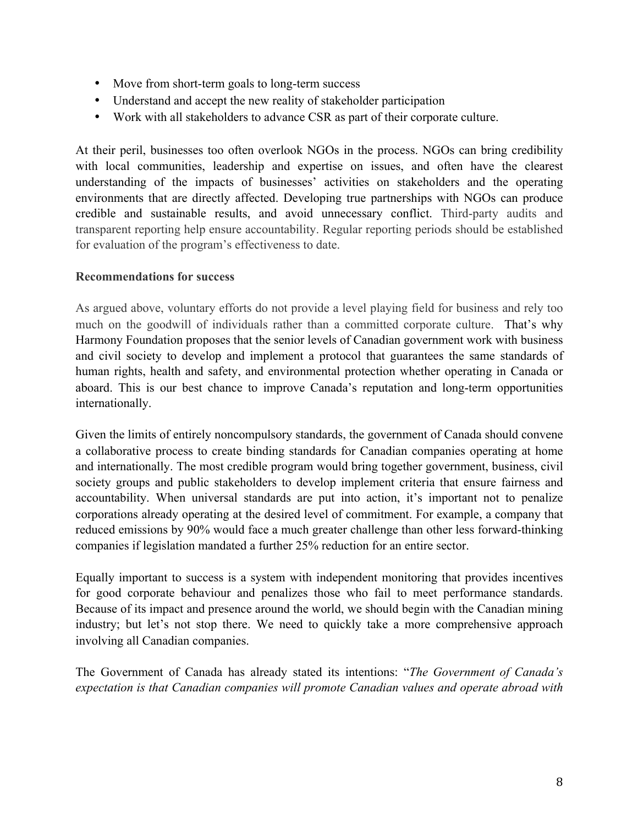- Move from short-term goals to long-term success
- Understand and accept the new reality of stakeholder participation
- Work with all stakeholders to advance CSR as part of their corporate culture.

At their peril, businesses too often overlook NGOs in the process. NGOs can bring credibility with local communities, leadership and expertise on issues, and often have the clearest understanding of the impacts of businesses' activities on stakeholders and the operating environments that are directly affected. Developing true partnerships with NGOs can produce credible and sustainable results, and avoid unnecessary conflict. Third-party audits and transparent reporting help ensure accountability. Regular reporting periods should be established for evaluation of the program's effectiveness to date.

### **Recommendations for success**

As argued above, voluntary efforts do not provide a level playing field for business and rely too much on the goodwill of individuals rather than a committed corporate culture. That's why Harmony Foundation proposes that the senior levels of Canadian government work with business and civil society to develop and implement a protocol that guarantees the same standards of human rights, health and safety, and environmental protection whether operating in Canada or aboard. This is our best chance to improve Canada's reputation and long-term opportunities internationally.

Given the limits of entirely noncompulsory standards, the government of Canada should convene a collaborative process to create binding standards for Canadian companies operating at home and internationally. The most credible program would bring together government, business, civil society groups and public stakeholders to develop implement criteria that ensure fairness and accountability. When universal standards are put into action, it's important not to penalize corporations already operating at the desired level of commitment. For example, a company that reduced emissions by 90% would face a much greater challenge than other less forward-thinking companies if legislation mandated a further 25% reduction for an entire sector.

Equally important to success is a system with independent monitoring that provides incentives for good corporate behaviour and penalizes those who fail to meet performance standards. Because of its impact and presence around the world, we should begin with the Canadian mining industry; but let's not stop there. We need to quickly take a more comprehensive approach involving all Canadian companies.

The Government of Canada has already stated its intentions: "*The Government of Canada's expectation is that Canadian companies will promote Canadian values and operate abroad with*